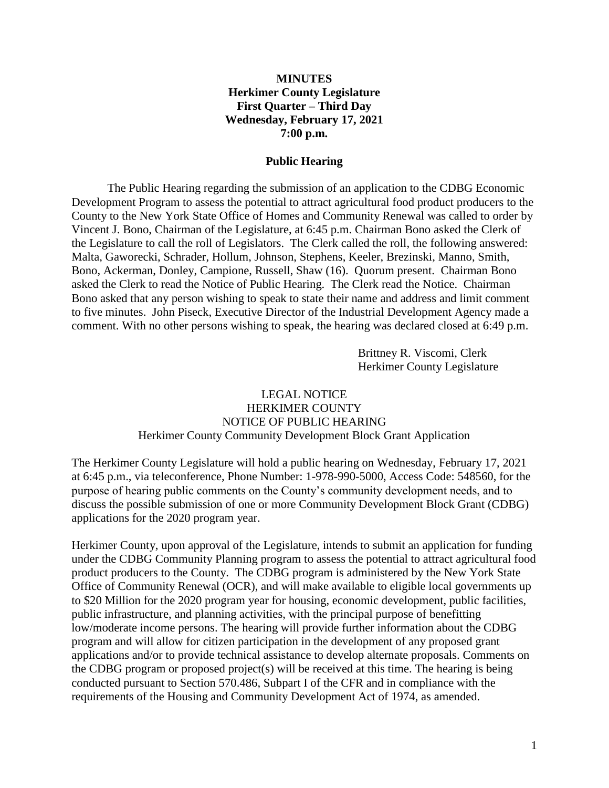## **MINUTES Herkimer County Legislature First Quarter – Third Day Wednesday, February 17, 2021 7:00 p.m.**

#### **Public Hearing**

The Public Hearing regarding the submission of an application to the CDBG Economic Development Program to assess the potential to attract agricultural food product producers to the County to the New York State Office of Homes and Community Renewal was called to order by Vincent J. Bono, Chairman of the Legislature, at 6:45 p.m. Chairman Bono asked the Clerk of the Legislature to call the roll of Legislators. The Clerk called the roll, the following answered: Malta, Gaworecki, Schrader, Hollum, Johnson, Stephens, Keeler, Brezinski, Manno, Smith, Bono, Ackerman, Donley, Campione, Russell, Shaw (16). Quorum present. Chairman Bono asked the Clerk to read the Notice of Public Hearing. The Clerk read the Notice. Chairman Bono asked that any person wishing to speak to state their name and address and limit comment to five minutes. John Piseck, Executive Director of the Industrial Development Agency made a comment. With no other persons wishing to speak, the hearing was declared closed at 6:49 p.m.

> Brittney R. Viscomi, Clerk Herkimer County Legislature

### LEGAL NOTICE HERKIMER COUNTY NOTICE OF PUBLIC HEARING Herkimer County Community Development Block Grant Application

The Herkimer County Legislature will hold a public hearing on Wednesday, February 17, 2021 at 6:45 p.m., via teleconference, Phone Number: 1-978-990-5000, Access Code: 548560, for the purpose of hearing public comments on the County's community development needs, and to discuss the possible submission of one or more Community Development Block Grant (CDBG) applications for the 2020 program year.

Herkimer County, upon approval of the Legislature, intends to submit an application for funding under the CDBG Community Planning program to assess the potential to attract agricultural food product producers to the County. The CDBG program is administered by the New York State Office of Community Renewal (OCR), and will make available to eligible local governments up to \$20 Million for the 2020 program year for housing, economic development, public facilities, public infrastructure, and planning activities, with the principal purpose of benefitting low/moderate income persons. The hearing will provide further information about the CDBG program and will allow for citizen participation in the development of any proposed grant applications and/or to provide technical assistance to develop alternate proposals. Comments on the CDBG program or proposed project(s) will be received at this time. The hearing is being conducted pursuant to Section 570.486, Subpart I of the CFR and in compliance with the requirements of the Housing and Community Development Act of 1974, as amended.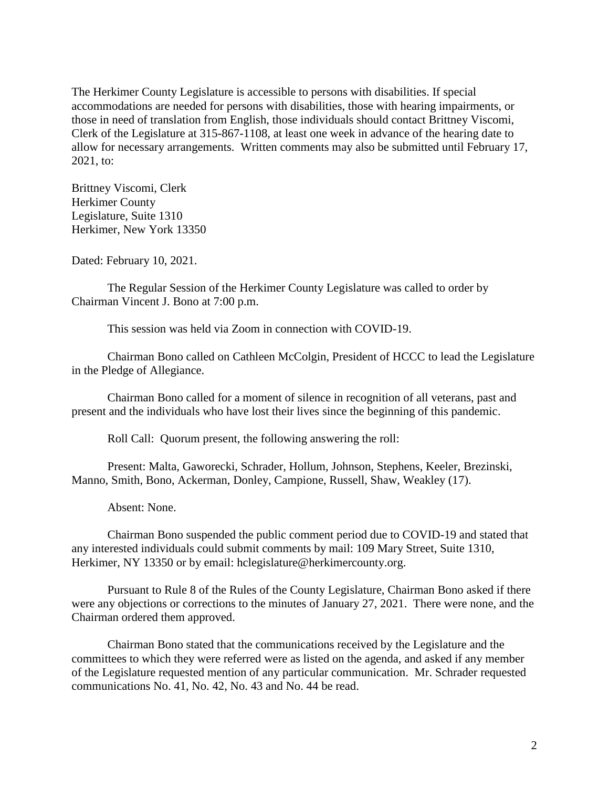The Herkimer County Legislature is accessible to persons with disabilities. If special accommodations are needed for persons with disabilities, those with hearing impairments, or those in need of translation from English, those individuals should contact Brittney Viscomi, Clerk of the Legislature at 315-867-1108, at least one week in advance of the hearing date to allow for necessary arrangements. Written comments may also be submitted until February 17, 2021, to:

Brittney Viscomi, Clerk Herkimer County Legislature, Suite 1310 Herkimer, New York 13350

Dated: February 10, 2021.

The Regular Session of the Herkimer County Legislature was called to order by Chairman Vincent J. Bono at 7:00 p.m.

This session was held via Zoom in connection with COVID-19.

Chairman Bono called on Cathleen McColgin, President of HCCC to lead the Legislature in the Pledge of Allegiance.

Chairman Bono called for a moment of silence in recognition of all veterans, past and present and the individuals who have lost their lives since the beginning of this pandemic.

Roll Call: Quorum present, the following answering the roll:

Present: Malta, Gaworecki, Schrader, Hollum, Johnson, Stephens, Keeler, Brezinski, Manno, Smith, Bono, Ackerman, Donley, Campione, Russell, Shaw, Weakley (17).

Absent: None.

Chairman Bono suspended the public comment period due to COVID-19 and stated that any interested individuals could submit comments by mail: 109 Mary Street, Suite 1310, Herkimer, NY 13350 or by email: hclegislature@herkimercounty.org.

Pursuant to Rule 8 of the Rules of the County Legislature, Chairman Bono asked if there were any objections or corrections to the minutes of January 27, 2021. There were none, and the Chairman ordered them approved.

Chairman Bono stated that the communications received by the Legislature and the committees to which they were referred were as listed on the agenda, and asked if any member of the Legislature requested mention of any particular communication. Mr. Schrader requested communications No. 41, No. 42, No. 43 and No. 44 be read.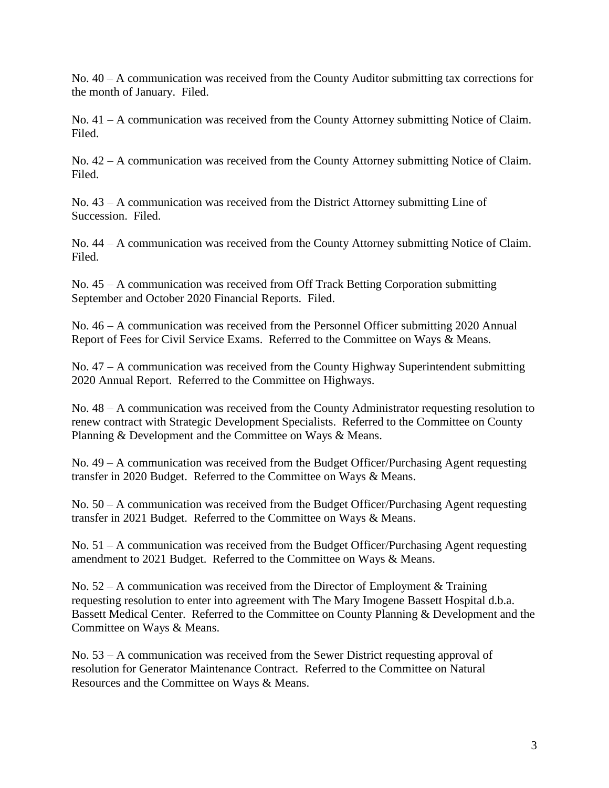No. 40 – A communication was received from the County Auditor submitting tax corrections for the month of January. Filed.

No. 41 – A communication was received from the County Attorney submitting Notice of Claim. Filed.

No. 42 – A communication was received from the County Attorney submitting Notice of Claim. Filed.

No. 43 – A communication was received from the District Attorney submitting Line of Succession. Filed.

No. 44 – A communication was received from the County Attorney submitting Notice of Claim. Filed.

No. 45 – A communication was received from Off Track Betting Corporation submitting September and October 2020 Financial Reports. Filed.

No. 46 – A communication was received from the Personnel Officer submitting 2020 Annual Report of Fees for Civil Service Exams. Referred to the Committee on Ways & Means.

No. 47 – A communication was received from the County Highway Superintendent submitting 2020 Annual Report. Referred to the Committee on Highways.

No. 48 – A communication was received from the County Administrator requesting resolution to renew contract with Strategic Development Specialists. Referred to the Committee on County Planning & Development and the Committee on Ways & Means.

No. 49 – A communication was received from the Budget Officer/Purchasing Agent requesting transfer in 2020 Budget. Referred to the Committee on Ways & Means.

No. 50 – A communication was received from the Budget Officer/Purchasing Agent requesting transfer in 2021 Budget. Referred to the Committee on Ways & Means.

No. 51 – A communication was received from the Budget Officer/Purchasing Agent requesting amendment to 2021 Budget. Referred to the Committee on Ways & Means.

No.  $52 - A$  communication was received from the Director of Employment & Training requesting resolution to enter into agreement with The Mary Imogene Bassett Hospital d.b.a. Bassett Medical Center. Referred to the Committee on County Planning & Development and the Committee on Ways & Means.

No. 53 – A communication was received from the Sewer District requesting approval of resolution for Generator Maintenance Contract. Referred to the Committee on Natural Resources and the Committee on Ways & Means.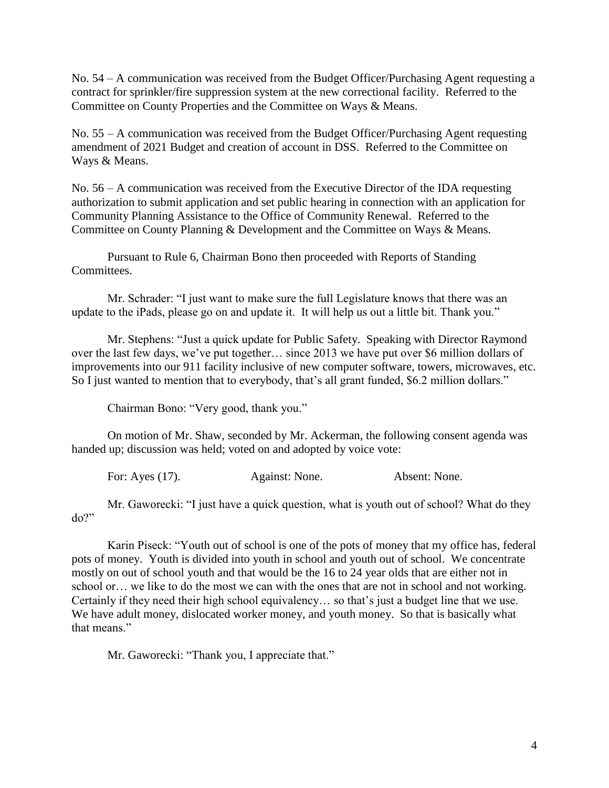No. 54 – A communication was received from the Budget Officer/Purchasing Agent requesting a contract for sprinkler/fire suppression system at the new correctional facility. Referred to the Committee on County Properties and the Committee on Ways & Means.

No. 55 – A communication was received from the Budget Officer/Purchasing Agent requesting amendment of 2021 Budget and creation of account in DSS. Referred to the Committee on Ways & Means.

No. 56 – A communication was received from the Executive Director of the IDA requesting authorization to submit application and set public hearing in connection with an application for Community Planning Assistance to the Office of Community Renewal. Referred to the Committee on County Planning & Development and the Committee on Ways & Means.

Pursuant to Rule 6, Chairman Bono then proceeded with Reports of Standing Committees.

Mr. Schrader: "I just want to make sure the full Legislature knows that there was an update to the iPads, please go on and update it. It will help us out a little bit. Thank you."

Mr. Stephens: "Just a quick update for Public Safety. Speaking with Director Raymond over the last few days, we've put together… since 2013 we have put over \$6 million dollars of improvements into our 911 facility inclusive of new computer software, towers, microwaves, etc. So I just wanted to mention that to everybody, that's all grant funded, \$6.2 million dollars."

Chairman Bono: "Very good, thank you."

On motion of Mr. Shaw, seconded by Mr. Ackerman, the following consent agenda was handed up; discussion was held; voted on and adopted by voice vote:

For: Ayes (17). Against: None. Absent: None.

Mr. Gaworecki: "I just have a quick question, what is youth out of school? What do they  $do?$ 

Karin Piseck: "Youth out of school is one of the pots of money that my office has, federal pots of money. Youth is divided into youth in school and youth out of school. We concentrate mostly on out of school youth and that would be the 16 to 24 year olds that are either not in school or… we like to do the most we can with the ones that are not in school and not working. Certainly if they need their high school equivalency… so that's just a budget line that we use. We have adult money, dislocated worker money, and youth money. So that is basically what that means."

Mr. Gaworecki: "Thank you, I appreciate that."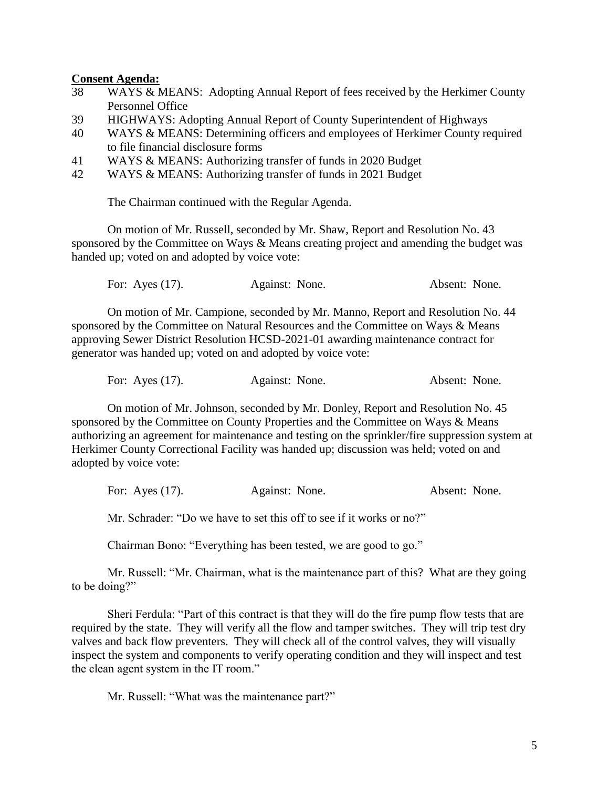#### **Consent Agenda:**

- 38 WAYS & MEANS: Adopting Annual Report of fees received by the Herkimer County Personnel Office
- 39 HIGHWAYS: Adopting Annual Report of County Superintendent of Highways
- 40 WAYS & MEANS: Determining officers and employees of Herkimer County required to file financial disclosure forms
- 41 WAYS & MEANS: Authorizing transfer of funds in 2020 Budget
- 42 WAYS & MEANS: Authorizing transfer of funds in 2021 Budget

The Chairman continued with the Regular Agenda.

On motion of Mr. Russell, seconded by Mr. Shaw, Report and Resolution No. 43 sponsored by the Committee on Ways & Means creating project and amending the budget was handed up; voted on and adopted by voice vote:

For: Ayes (17). Against: None. Absent: None.

On motion of Mr. Campione, seconded by Mr. Manno, Report and Resolution No. 44 sponsored by the Committee on Natural Resources and the Committee on Ways & Means approving Sewer District Resolution HCSD-2021-01 awarding maintenance contract for generator was handed up; voted on and adopted by voice vote:

| For: Ayes $(17)$ . | Against: None. | Absent: None. |  |
|--------------------|----------------|---------------|--|
|                    |                |               |  |

On motion of Mr. Johnson, seconded by Mr. Donley, Report and Resolution No. 45 sponsored by the Committee on County Properties and the Committee on Ways & Means authorizing an agreement for maintenance and testing on the sprinkler/fire suppression system at Herkimer County Correctional Facility was handed up; discussion was held; voted on and adopted by voice vote:

For: Ayes (17). Against: None. Absent: None.

Mr. Schrader: "Do we have to set this off to see if it works or no?"

Chairman Bono: "Everything has been tested, we are good to go."

Mr. Russell: "Mr. Chairman, what is the maintenance part of this? What are they going to be doing?"

Sheri Ferdula: "Part of this contract is that they will do the fire pump flow tests that are required by the state. They will verify all the flow and tamper switches. They will trip test dry valves and back flow preventers. They will check all of the control valves, they will visually inspect the system and components to verify operating condition and they will inspect and test the clean agent system in the IT room."

Mr. Russell: "What was the maintenance part?"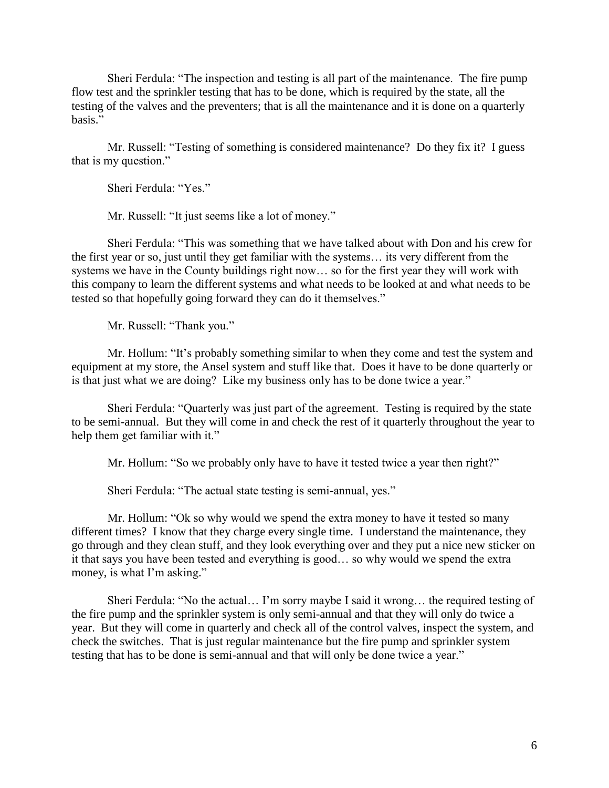Sheri Ferdula: "The inspection and testing is all part of the maintenance. The fire pump flow test and the sprinkler testing that has to be done, which is required by the state, all the testing of the valves and the preventers; that is all the maintenance and it is done on a quarterly basis."

Mr. Russell: "Testing of something is considered maintenance? Do they fix it? I guess that is my question."

Sheri Ferdula: "Yes."

Mr. Russell: "It just seems like a lot of money."

Sheri Ferdula: "This was something that we have talked about with Don and his crew for the first year or so, just until they get familiar with the systems… its very different from the systems we have in the County buildings right now… so for the first year they will work with this company to learn the different systems and what needs to be looked at and what needs to be tested so that hopefully going forward they can do it themselves."

Mr. Russell: "Thank you."

Mr. Hollum: "It's probably something similar to when they come and test the system and equipment at my store, the Ansel system and stuff like that. Does it have to be done quarterly or is that just what we are doing? Like my business only has to be done twice a year."

Sheri Ferdula: "Quarterly was just part of the agreement. Testing is required by the state to be semi-annual. But they will come in and check the rest of it quarterly throughout the year to help them get familiar with it."

Mr. Hollum: "So we probably only have to have it tested twice a year then right?"

Sheri Ferdula: "The actual state testing is semi-annual, yes."

Mr. Hollum: "Ok so why would we spend the extra money to have it tested so many different times? I know that they charge every single time. I understand the maintenance, they go through and they clean stuff, and they look everything over and they put a nice new sticker on it that says you have been tested and everything is good… so why would we spend the extra money, is what I'm asking."

Sheri Ferdula: "No the actual… I'm sorry maybe I said it wrong… the required testing of the fire pump and the sprinkler system is only semi-annual and that they will only do twice a year. But they will come in quarterly and check all of the control valves, inspect the system, and check the switches. That is just regular maintenance but the fire pump and sprinkler system testing that has to be done is semi-annual and that will only be done twice a year."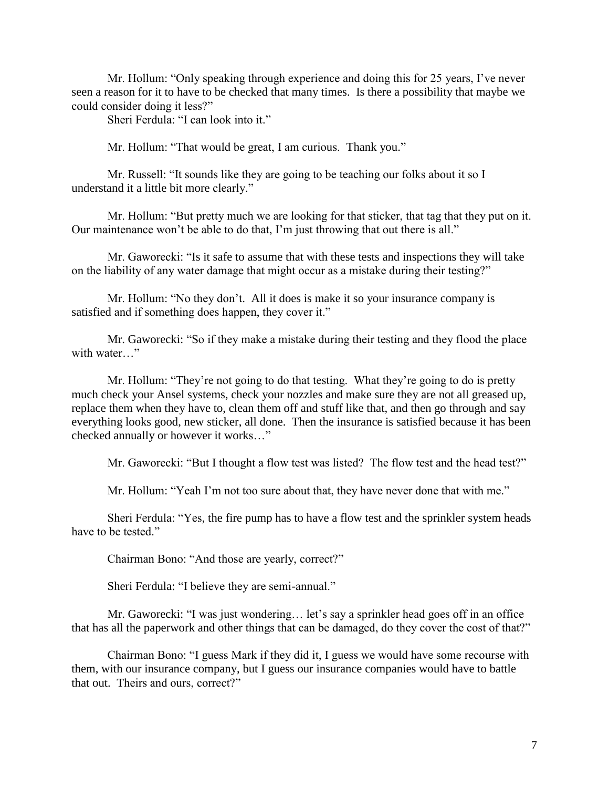Mr. Hollum: "Only speaking through experience and doing this for 25 years, I've never seen a reason for it to have to be checked that many times. Is there a possibility that maybe we could consider doing it less?"

Sheri Ferdula: "I can look into it."

Mr. Hollum: "That would be great, I am curious. Thank you."

Mr. Russell: "It sounds like they are going to be teaching our folks about it so I understand it a little bit more clearly."

Mr. Hollum: "But pretty much we are looking for that sticker, that tag that they put on it. Our maintenance won't be able to do that, I'm just throwing that out there is all."

Mr. Gaworecki: "Is it safe to assume that with these tests and inspections they will take on the liability of any water damage that might occur as a mistake during their testing?"

Mr. Hollum: "No they don't. All it does is make it so your insurance company is satisfied and if something does happen, they cover it."

Mr. Gaworecki: "So if they make a mistake during their testing and they flood the place with water…"

Mr. Hollum: "They're not going to do that testing. What they're going to do is pretty much check your Ansel systems, check your nozzles and make sure they are not all greased up, replace them when they have to, clean them off and stuff like that, and then go through and say everything looks good, new sticker, all done. Then the insurance is satisfied because it has been checked annually or however it works…"

Mr. Gaworecki: "But I thought a flow test was listed? The flow test and the head test?"

Mr. Hollum: "Yeah I'm not too sure about that, they have never done that with me."

Sheri Ferdula: "Yes, the fire pump has to have a flow test and the sprinkler system heads have to be tested."

Chairman Bono: "And those are yearly, correct?"

Sheri Ferdula: "I believe they are semi-annual."

Mr. Gaworecki: "I was just wondering… let's say a sprinkler head goes off in an office that has all the paperwork and other things that can be damaged, do they cover the cost of that?"

Chairman Bono: "I guess Mark if they did it, I guess we would have some recourse with them, with our insurance company, but I guess our insurance companies would have to battle that out. Theirs and ours, correct?"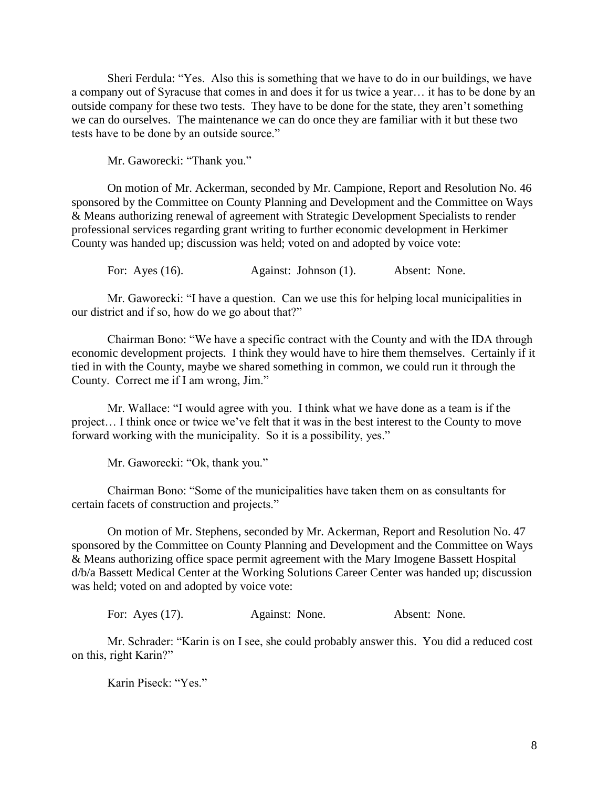Sheri Ferdula: "Yes. Also this is something that we have to do in our buildings, we have a company out of Syracuse that comes in and does it for us twice a year… it has to be done by an outside company for these two tests. They have to be done for the state, they aren't something we can do ourselves. The maintenance we can do once they are familiar with it but these two tests have to be done by an outside source."

Mr. Gaworecki: "Thank you."

On motion of Mr. Ackerman, seconded by Mr. Campione, Report and Resolution No. 46 sponsored by the Committee on County Planning and Development and the Committee on Ways & Means authorizing renewal of agreement with Strategic Development Specialists to render professional services regarding grant writing to further economic development in Herkimer County was handed up; discussion was held; voted on and adopted by voice vote:

For: Ayes (16). Against: Johnson (1). Absent: None.

Mr. Gaworecki: "I have a question. Can we use this for helping local municipalities in our district and if so, how do we go about that?"

Chairman Bono: "We have a specific contract with the County and with the IDA through economic development projects. I think they would have to hire them themselves. Certainly if it tied in with the County, maybe we shared something in common, we could run it through the County. Correct me if I am wrong, Jim."

Mr. Wallace: "I would agree with you. I think what we have done as a team is if the project… I think once or twice we've felt that it was in the best interest to the County to move forward working with the municipality. So it is a possibility, yes."

Mr. Gaworecki: "Ok, thank you."

Chairman Bono: "Some of the municipalities have taken them on as consultants for certain facets of construction and projects."

On motion of Mr. Stephens, seconded by Mr. Ackerman, Report and Resolution No. 47 sponsored by the Committee on County Planning and Development and the Committee on Ways & Means authorizing office space permit agreement with the Mary Imogene Bassett Hospital d/b/a Bassett Medical Center at the Working Solutions Career Center was handed up; discussion was held; voted on and adopted by voice vote:

For: Ayes (17). Against: None. Absent: None.

Mr. Schrader: "Karin is on I see, she could probably answer this. You did a reduced cost on this, right Karin?"

Karin Piseck: "Yes."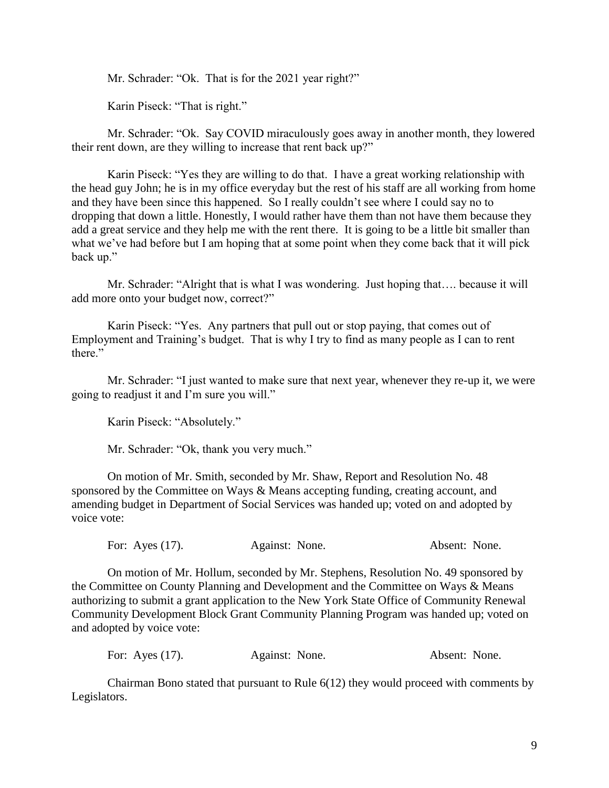Mr. Schrader: "Ok. That is for the 2021 year right?"

Karin Piseck: "That is right."

Mr. Schrader: "Ok. Say COVID miraculously goes away in another month, they lowered their rent down, are they willing to increase that rent back up?"

Karin Piseck: "Yes they are willing to do that. I have a great working relationship with the head guy John; he is in my office everyday but the rest of his staff are all working from home and they have been since this happened. So I really couldn't see where I could say no to dropping that down a little. Honestly, I would rather have them than not have them because they add a great service and they help me with the rent there. It is going to be a little bit smaller than what we've had before but I am hoping that at some point when they come back that it will pick back up."

Mr. Schrader: "Alright that is what I was wondering. Just hoping that.... because it will add more onto your budget now, correct?"

Karin Piseck: "Yes. Any partners that pull out or stop paying, that comes out of Employment and Training's budget. That is why I try to find as many people as I can to rent there."

Mr. Schrader: "I just wanted to make sure that next year, whenever they re-up it, we were going to readjust it and I'm sure you will."

Karin Piseck: "Absolutely."

Mr. Schrader: "Ok, thank you very much."

On motion of Mr. Smith, seconded by Mr. Shaw, Report and Resolution No. 48 sponsored by the Committee on Ways & Means accepting funding, creating account, and amending budget in Department of Social Services was handed up; voted on and adopted by voice vote:

For: Ayes (17). Against: None. Absent: None.

On motion of Mr. Hollum, seconded by Mr. Stephens, Resolution No. 49 sponsored by the Committee on County Planning and Development and the Committee on Ways & Means authorizing to submit a grant application to the New York State Office of Community Renewal Community Development Block Grant Community Planning Program was handed up; voted on and adopted by voice vote:

For: Ayes (17). Against: None. Absent: None.

Chairman Bono stated that pursuant to Rule 6(12) they would proceed with comments by Legislators.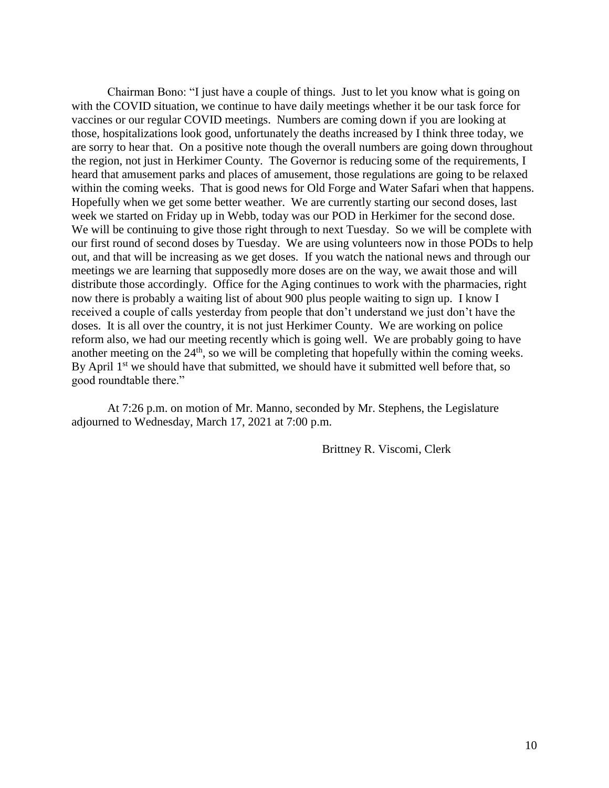Chairman Bono: "I just have a couple of things. Just to let you know what is going on with the COVID situation, we continue to have daily meetings whether it be our task force for vaccines or our regular COVID meetings. Numbers are coming down if you are looking at those, hospitalizations look good, unfortunately the deaths increased by I think three today, we are sorry to hear that. On a positive note though the overall numbers are going down throughout the region, not just in Herkimer County. The Governor is reducing some of the requirements, I heard that amusement parks and places of amusement, those regulations are going to be relaxed within the coming weeks. That is good news for Old Forge and Water Safari when that happens. Hopefully when we get some better weather. We are currently starting our second doses, last week we started on Friday up in Webb, today was our POD in Herkimer for the second dose. We will be continuing to give those right through to next Tuesday. So we will be complete with our first round of second doses by Tuesday. We are using volunteers now in those PODs to help out, and that will be increasing as we get doses. If you watch the national news and through our meetings we are learning that supposedly more doses are on the way, we await those and will distribute those accordingly. Office for the Aging continues to work with the pharmacies, right now there is probably a waiting list of about 900 plus people waiting to sign up. I know I received a couple of calls yesterday from people that don't understand we just don't have the doses. It is all over the country, it is not just Herkimer County. We are working on police reform also, we had our meeting recently which is going well. We are probably going to have another meeting on the  $24<sup>th</sup>$ , so we will be completing that hopefully within the coming weeks. By April  $1<sup>st</sup>$  we should have that submitted, we should have it submitted well before that, so good roundtable there."

At 7:26 p.m. on motion of Mr. Manno, seconded by Mr. Stephens, the Legislature adjourned to Wednesday, March 17, 2021 at 7:00 p.m.

Brittney R. Viscomi, Clerk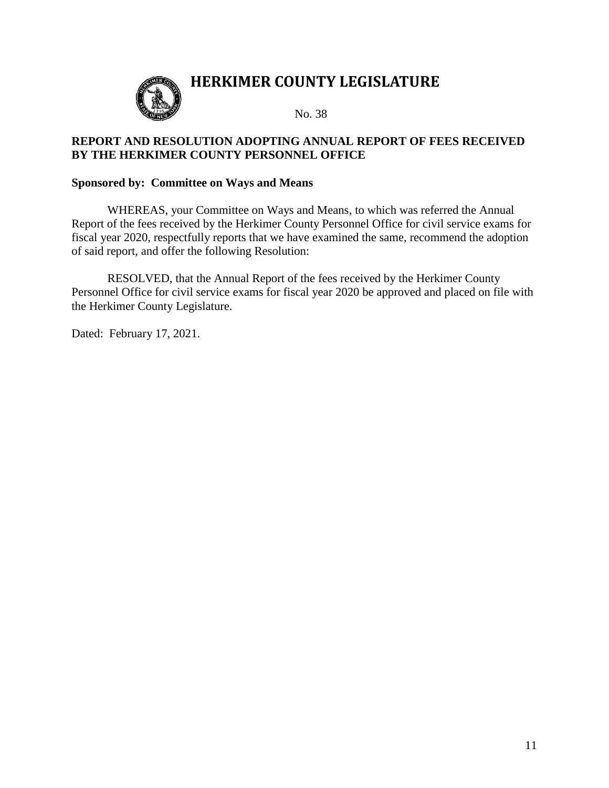

No. 38

# **REPORT AND RESOLUTION ADOPTING ANNUAL REPORT OF FEES RECEIVED BY THE HERKIMER COUNTY PERSONNEL OFFICE**

## **Sponsored by: Committee on Ways and Means**

WHEREAS, your Committee on Ways and Means, to which was referred the Annual Report of the fees received by the Herkimer County Personnel Office for civil service exams for fiscal year 2020, respectfully reports that we have examined the same, recommend the adoption of said report, and offer the following Resolution:

RESOLVED, that the Annual Report of the fees received by the Herkimer County Personnel Office for civil service exams for fiscal year 2020 be approved and placed on file with the Herkimer County Legislature.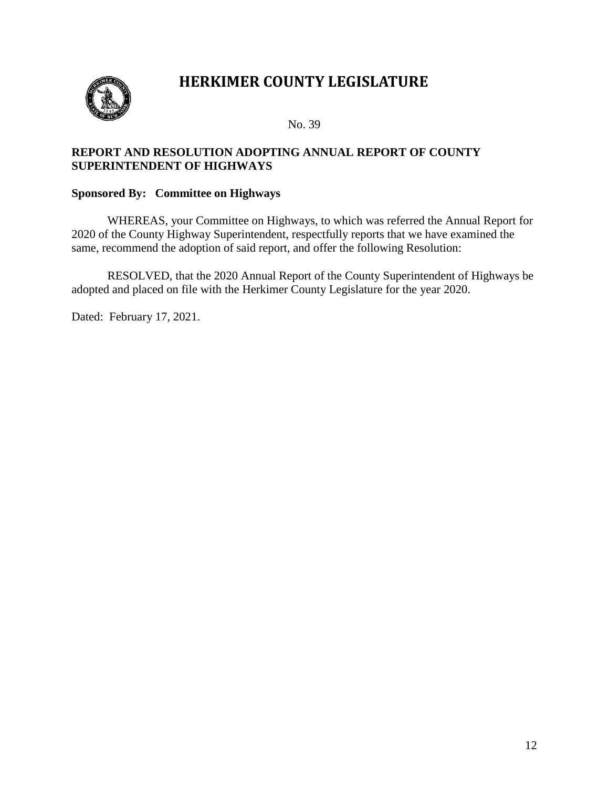

No. 39

# **REPORT AND RESOLUTION ADOPTING ANNUAL REPORT OF COUNTY SUPERINTENDENT OF HIGHWAYS**

## **Sponsored By: Committee on Highways**

WHEREAS, your Committee on Highways, to which was referred the Annual Report for 2020 of the County Highway Superintendent, respectfully reports that we have examined the same, recommend the adoption of said report, and offer the following Resolution:

RESOLVED, that the 2020 Annual Report of the County Superintendent of Highways be adopted and placed on file with the Herkimer County Legislature for the year 2020.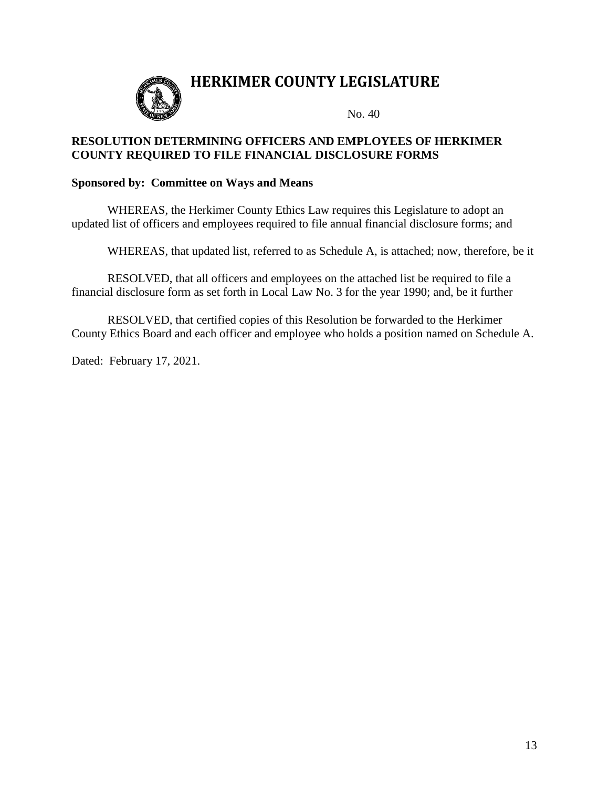

## **RESOLUTION DETERMINING OFFICERS AND EMPLOYEES OF HERKIMER COUNTY REQUIRED TO FILE FINANCIAL DISCLOSURE FORMS**

## **Sponsored by: Committee on Ways and Means**

WHEREAS, the Herkimer County Ethics Law requires this Legislature to adopt an updated list of officers and employees required to file annual financial disclosure forms; and

WHEREAS, that updated list, referred to as Schedule A, is attached; now, therefore, be it

RESOLVED, that all officers and employees on the attached list be required to file a financial disclosure form as set forth in Local Law No. 3 for the year 1990; and, be it further

RESOLVED, that certified copies of this Resolution be forwarded to the Herkimer County Ethics Board and each officer and employee who holds a position named on Schedule A.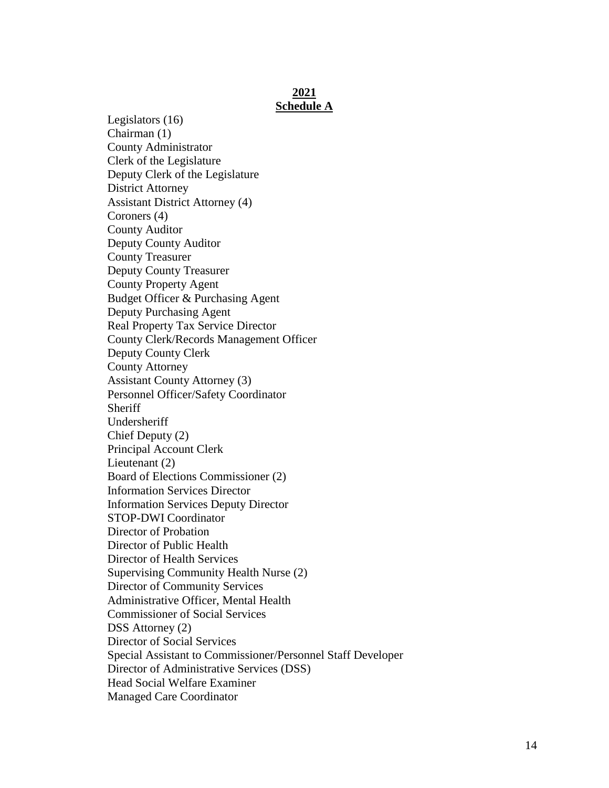#### **2021 Schedule A**

Legislators (16) Chairman (1) County Administrator Clerk of the Legislature Deputy Clerk of the Legislature District Attorney Assistant District Attorney (4) Coroners (4) County Auditor Deputy County Auditor County Treasurer Deputy County Treasurer County Property Agent Budget Officer & Purchasing Agent Deputy Purchasing Agent Real Property Tax Service Director County Clerk/Records Management Officer Deputy County Clerk County Attorney Assistant County Attorney (3) Personnel Officer/Safety Coordinator **Sheriff** Undersheriff Chief Deputy (2) Principal Account Clerk Lieutenant (2) Board of Elections Commissioner (2) Information Services Director Information Services Deputy Director STOP-DWI Coordinator Director of Probation Director of Public Health Director of Health Services Supervising Community Health Nurse (2) Director of Community Services Administrative Officer, Mental Health Commissioner of Social Services DSS Attorney (2) Director of Social Services Special Assistant to Commissioner/Personnel Staff Developer Director of Administrative Services (DSS) Head Social Welfare Examiner Managed Care Coordinator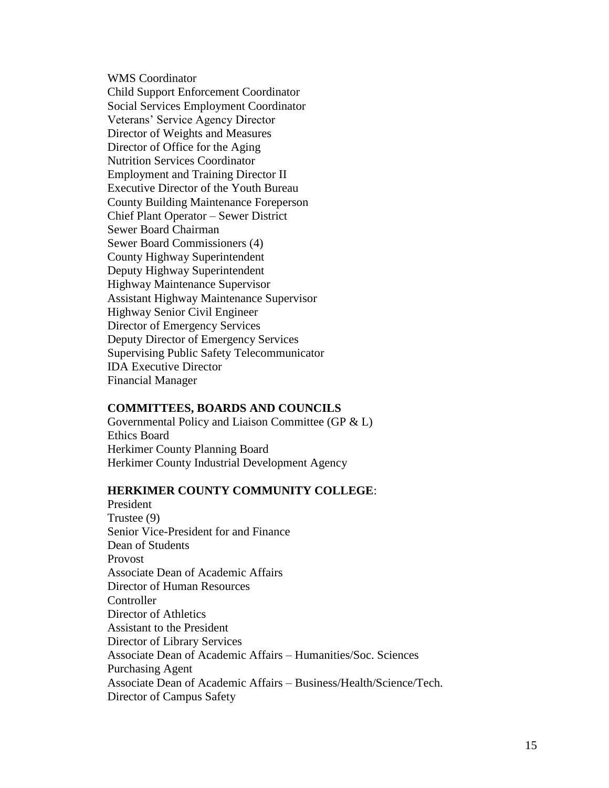WMS Coordinator

Child Support Enforcement Coordinator Social Services Employment Coordinator Veterans' Service Agency Director Director of Weights and Measures Director of Office for the Aging Nutrition Services Coordinator Employment and Training Director II Executive Director of the Youth Bureau County Building Maintenance Foreperson Chief Plant Operator – Sewer District Sewer Board Chairman Sewer Board Commissioners (4) County Highway Superintendent Deputy Highway Superintendent Highway Maintenance Supervisor Assistant Highway Maintenance Supervisor Highway Senior Civil Engineer Director of Emergency Services Deputy Director of Emergency Services Supervising Public Safety Telecommunicator IDA Executive Director Financial Manager

#### **COMMITTEES, BOARDS AND COUNCILS**

Governmental Policy and Liaison Committee (GP & L) Ethics Board Herkimer County Planning Board Herkimer County Industrial Development Agency

## **HERKIMER COUNTY COMMUNITY COLLEGE**:

President Trustee (9) Senior Vice-President for and Finance Dean of Students Provost Associate Dean of Academic Affairs Director of Human Resources **Controller** Director of Athletics Assistant to the President Director of Library Services Associate Dean of Academic Affairs – Humanities/Soc. Sciences Purchasing Agent Associate Dean of Academic Affairs – Business/Health/Science/Tech. Director of Campus Safety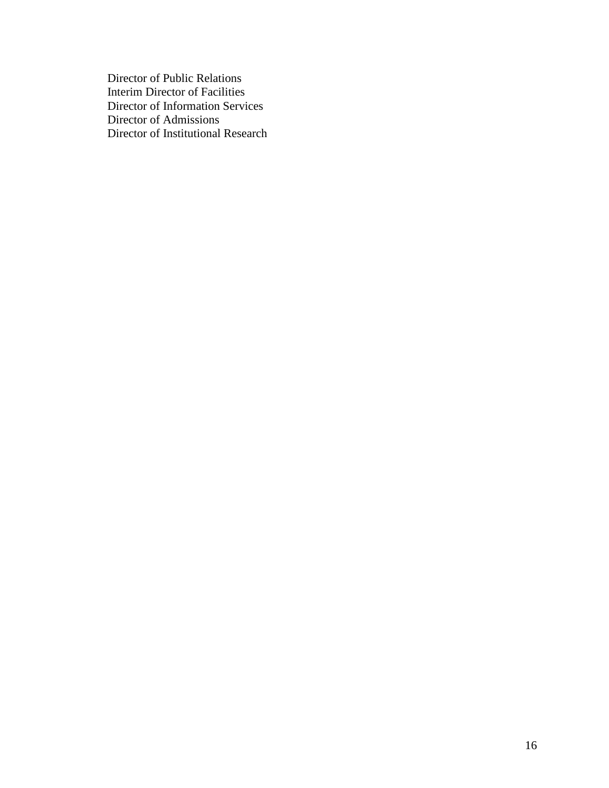Director of Public Relations Interim Director of Facilities Director of Information Services Director of Admissions Director of Institutional Research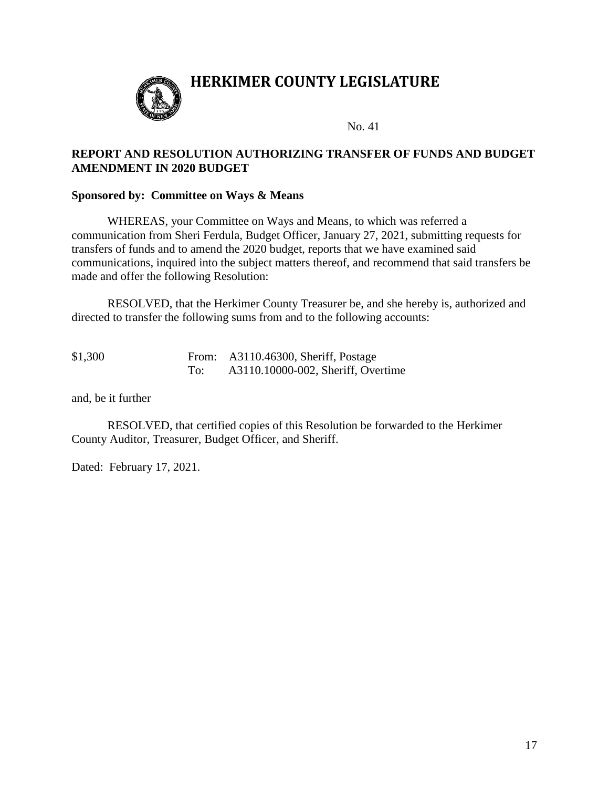

No. 41

# **REPORT AND RESOLUTION AUTHORIZING TRANSFER OF FUNDS AND BUDGET AMENDMENT IN 2020 BUDGET**

### **Sponsored by: Committee on Ways & Means**

WHEREAS, your Committee on Ways and Means, to which was referred a communication from Sheri Ferdula, Budget Officer, January 27, 2021, submitting requests for transfers of funds and to amend the 2020 budget, reports that we have examined said communications, inquired into the subject matters thereof, and recommend that said transfers be made and offer the following Resolution:

RESOLVED, that the Herkimer County Treasurer be, and she hereby is, authorized and directed to transfer the following sums from and to the following accounts:

| \$1,300 |     | From: A3110.46300, Sheriff, Postage |  |
|---------|-----|-------------------------------------|--|
|         | To: | A3110.10000-002, Sheriff, Overtime  |  |

and, be it further

RESOLVED, that certified copies of this Resolution be forwarded to the Herkimer County Auditor, Treasurer, Budget Officer, and Sheriff.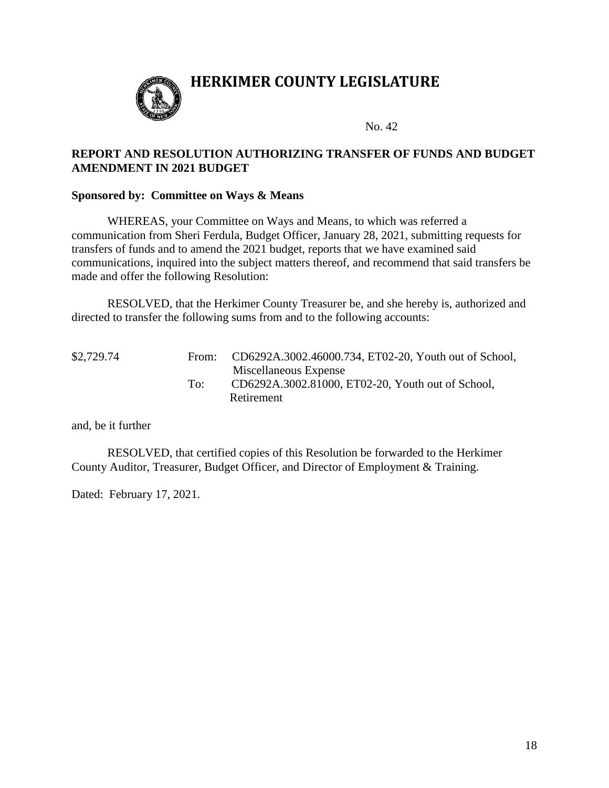

No. 42

# **REPORT AND RESOLUTION AUTHORIZING TRANSFER OF FUNDS AND BUDGET AMENDMENT IN 2021 BUDGET**

### **Sponsored by: Committee on Ways & Means**

WHEREAS, your Committee on Ways and Means, to which was referred a communication from Sheri Ferdula, Budget Officer, January 28, 2021, submitting requests for transfers of funds and to amend the 2021 budget, reports that we have examined said communications, inquired into the subject matters thereof, and recommend that said transfers be made and offer the following Resolution:

RESOLVED, that the Herkimer County Treasurer be, and she hereby is, authorized and directed to transfer the following sums from and to the following accounts:

| \$2,729.74 | From: | CD6292A.3002.46000.734, ET02-20, Youth out of School, |
|------------|-------|-------------------------------------------------------|
|            |       | Miscellaneous Expense                                 |
|            | To:   | CD6292A.3002.81000, ET02-20, Youth out of School,     |
|            |       | Retirement                                            |

and, be it further

RESOLVED, that certified copies of this Resolution be forwarded to the Herkimer County Auditor, Treasurer, Budget Officer, and Director of Employment & Training.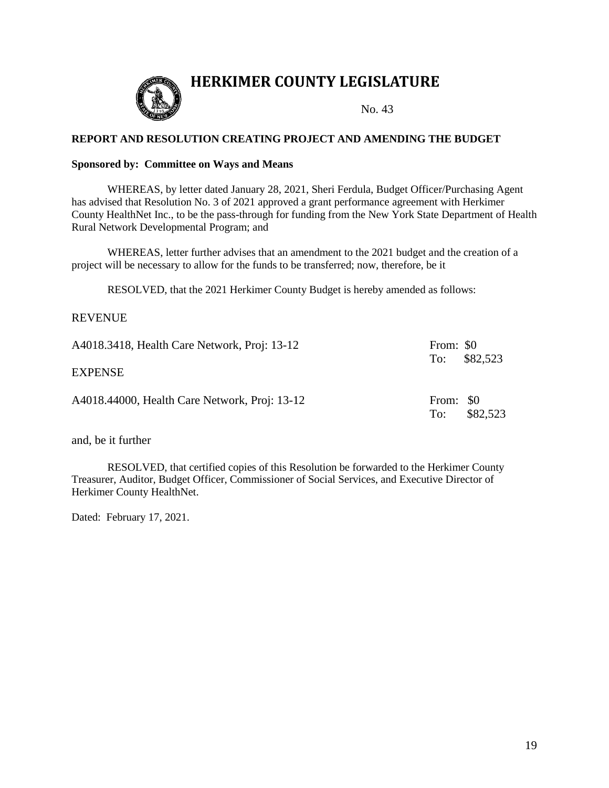

#### **REPORT AND RESOLUTION CREATING PROJECT AND AMENDING THE BUDGET**

#### **Sponsored by: Committee on Ways and Means**

WHEREAS, by letter dated January 28, 2021, Sheri Ferdula, Budget Officer/Purchasing Agent has advised that Resolution No. 3 of 2021 approved a grant performance agreement with Herkimer County HealthNet Inc., to be the pass-through for funding from the New York State Department of Health Rural Network Developmental Program; and

WHEREAS, letter further advises that an amendment to the 2021 budget and the creation of a project will be necessary to allow for the funds to be transferred; now, therefore, be it

RESOLVED, that the 2021 Herkimer County Budget is hereby amended as follows:

#### REVENUE

| A4018.3418, Health Care Network, Proj: 13-12  | From: \$0        | To: $$82,523$ |
|-----------------------------------------------|------------------|---------------|
| <b>EXPENSE</b>                                |                  |               |
| A4018.44000, Health Care Network, Proj: 13-12 | From: \$0<br>To: | \$82,523      |

and, be it further

RESOLVED, that certified copies of this Resolution be forwarded to the Herkimer County Treasurer, Auditor, Budget Officer, Commissioner of Social Services, and Executive Director of Herkimer County HealthNet.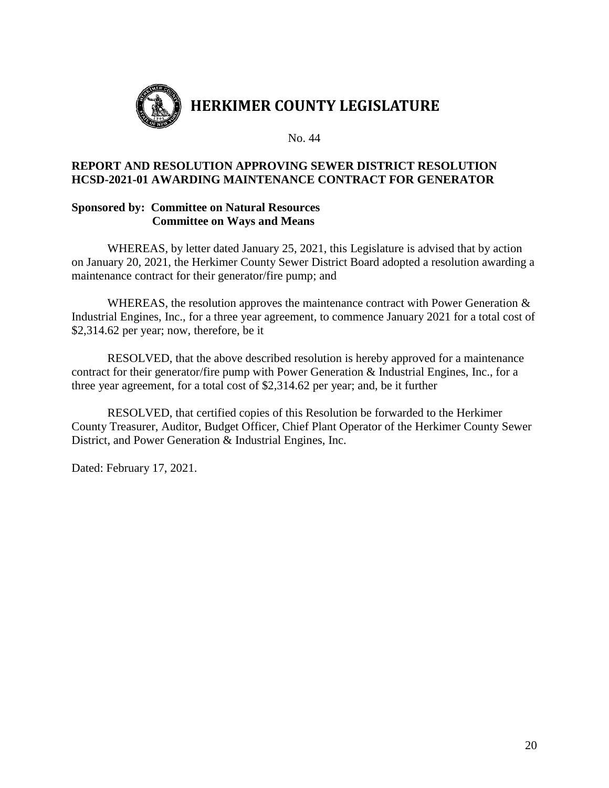

## **REPORT AND RESOLUTION APPROVING SEWER DISTRICT RESOLUTION HCSD-2021-01 AWARDING MAINTENANCE CONTRACT FOR GENERATOR**

### **Sponsored by: Committee on Natural Resources Committee on Ways and Means**

WHEREAS, by letter dated January 25, 2021, this Legislature is advised that by action on January 20, 2021, the Herkimer County Sewer District Board adopted a resolution awarding a maintenance contract for their generator/fire pump; and

WHEREAS, the resolution approves the maintenance contract with Power Generation  $\&$ Industrial Engines, Inc., for a three year agreement, to commence January 2021 for a total cost of \$2,314.62 per year; now, therefore, be it

RESOLVED, that the above described resolution is hereby approved for a maintenance contract for their generator/fire pump with Power Generation & Industrial Engines, Inc., for a three year agreement, for a total cost of \$2,314.62 per year; and, be it further

RESOLVED, that certified copies of this Resolution be forwarded to the Herkimer County Treasurer, Auditor, Budget Officer, Chief Plant Operator of the Herkimer County Sewer District, and Power Generation & Industrial Engines, Inc.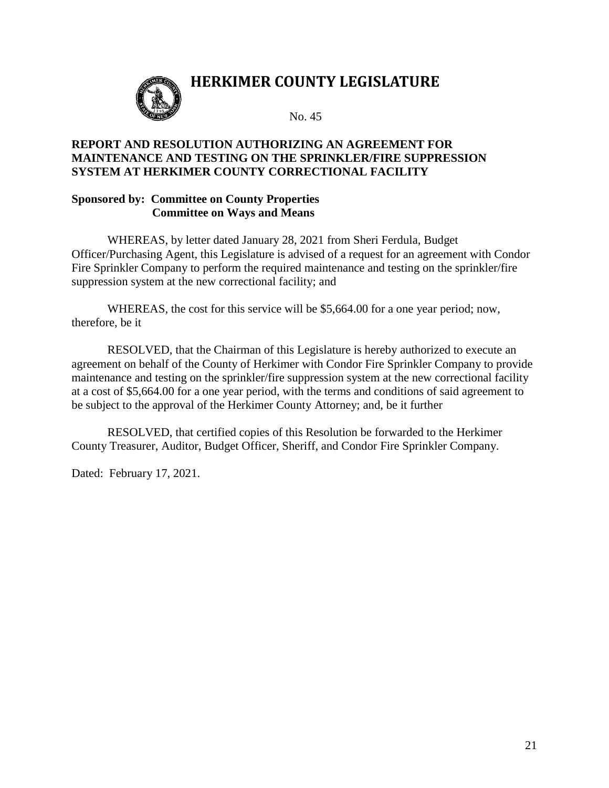

No. 45

# **REPORT AND RESOLUTION AUTHORIZING AN AGREEMENT FOR MAINTENANCE AND TESTING ON THE SPRINKLER/FIRE SUPPRESSION SYSTEM AT HERKIMER COUNTY CORRECTIONAL FACILITY**

# **Sponsored by: Committee on County Properties Committee on Ways and Means**

WHEREAS, by letter dated January 28, 2021 from Sheri Ferdula, Budget Officer/Purchasing Agent, this Legislature is advised of a request for an agreement with Condor Fire Sprinkler Company to perform the required maintenance and testing on the sprinkler/fire suppression system at the new correctional facility; and

WHEREAS, the cost for this service will be \$5,664.00 for a one year period; now, therefore, be it

RESOLVED, that the Chairman of this Legislature is hereby authorized to execute an agreement on behalf of the County of Herkimer with Condor Fire Sprinkler Company to provide maintenance and testing on the sprinkler/fire suppression system at the new correctional facility at a cost of \$5,664.00 for a one year period, with the terms and conditions of said agreement to be subject to the approval of the Herkimer County Attorney; and, be it further

RESOLVED, that certified copies of this Resolution be forwarded to the Herkimer County Treasurer, Auditor, Budget Officer, Sheriff, and Condor Fire Sprinkler Company.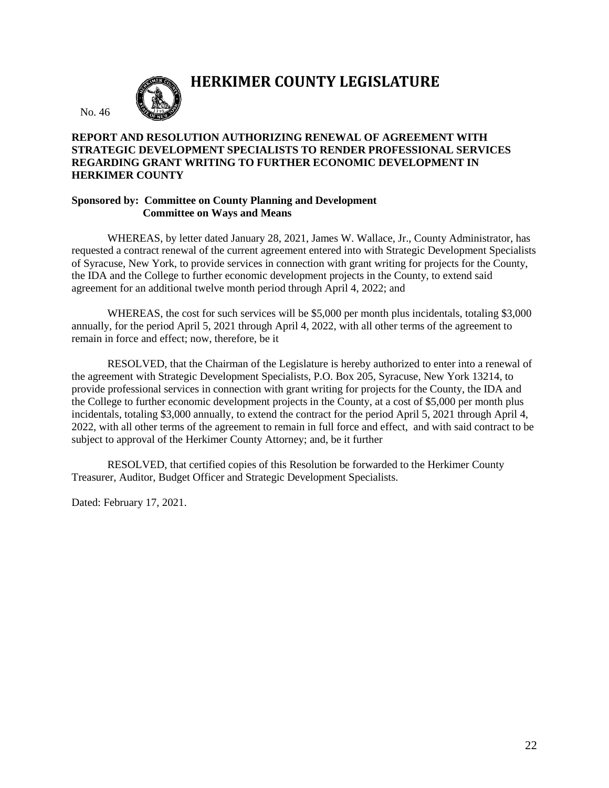

**HERKIMER COUNTY LEGISLATURE**

### **REPORT AND RESOLUTION AUTHORIZING RENEWAL OF AGREEMENT WITH STRATEGIC DEVELOPMENT SPECIALISTS TO RENDER PROFESSIONAL SERVICES REGARDING GRANT WRITING TO FURTHER ECONOMIC DEVELOPMENT IN HERKIMER COUNTY**

#### **Sponsored by: Committee on County Planning and Development Committee on Ways and Means**

WHEREAS, by letter dated January 28, 2021, James W. Wallace, Jr., County Administrator, has requested a contract renewal of the current agreement entered into with Strategic Development Specialists of Syracuse, New York, to provide services in connection with grant writing for projects for the County, the IDA and the College to further economic development projects in the County, to extend said agreement for an additional twelve month period through April 4, 2022; and

WHEREAS, the cost for such services will be \$5,000 per month plus incidentals, totaling \$3,000 annually, for the period April 5, 2021 through April 4, 2022, with all other terms of the agreement to remain in force and effect; now, therefore, be it

RESOLVED, that the Chairman of the Legislature is hereby authorized to enter into a renewal of the agreement with Strategic Development Specialists, P.O. Box 205, Syracuse, New York 13214, to provide professional services in connection with grant writing for projects for the County, the IDA and the College to further economic development projects in the County, at a cost of \$5,000 per month plus incidentals, totaling \$3,000 annually, to extend the contract for the period April 5, 2021 through April 4, 2022, with all other terms of the agreement to remain in full force and effect, and with said contract to be subject to approval of the Herkimer County Attorney; and, be it further

RESOLVED, that certified copies of this Resolution be forwarded to the Herkimer County Treasurer, Auditor, Budget Officer and Strategic Development Specialists.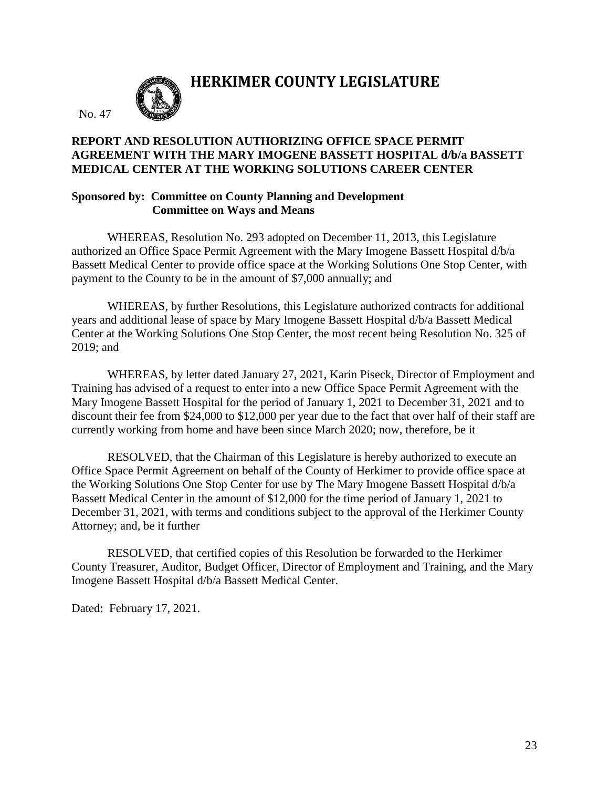

**HERKIMER COUNTY LEGISLATURE**

# **REPORT AND RESOLUTION AUTHORIZING OFFICE SPACE PERMIT AGREEMENT WITH THE MARY IMOGENE BASSETT HOSPITAL d/b/a BASSETT MEDICAL CENTER AT THE WORKING SOLUTIONS CAREER CENTER**

## **Sponsored by: Committee on County Planning and Development Committee on Ways and Means**

WHEREAS, Resolution No. 293 adopted on December 11, 2013, this Legislature authorized an Office Space Permit Agreement with the Mary Imogene Bassett Hospital d/b/a Bassett Medical Center to provide office space at the Working Solutions One Stop Center, with payment to the County to be in the amount of \$7,000 annually; and

WHEREAS, by further Resolutions, this Legislature authorized contracts for additional years and additional lease of space by Mary Imogene Bassett Hospital d/b/a Bassett Medical Center at the Working Solutions One Stop Center, the most recent being Resolution No. 325 of 2019; and

WHEREAS, by letter dated January 27, 2021, Karin Piseck, Director of Employment and Training has advised of a request to enter into a new Office Space Permit Agreement with the Mary Imogene Bassett Hospital for the period of January 1, 2021 to December 31, 2021 and to discount their fee from \$24,000 to \$12,000 per year due to the fact that over half of their staff are currently working from home and have been since March 2020; now, therefore, be it

RESOLVED, that the Chairman of this Legislature is hereby authorized to execute an Office Space Permit Agreement on behalf of the County of Herkimer to provide office space at the Working Solutions One Stop Center for use by The Mary Imogene Bassett Hospital d/b/a Bassett Medical Center in the amount of \$12,000 for the time period of January 1, 2021 to December 31, 2021, with terms and conditions subject to the approval of the Herkimer County Attorney; and, be it further

RESOLVED, that certified copies of this Resolution be forwarded to the Herkimer County Treasurer, Auditor, Budget Officer, Director of Employment and Training, and the Mary Imogene Bassett Hospital d/b/a Bassett Medical Center.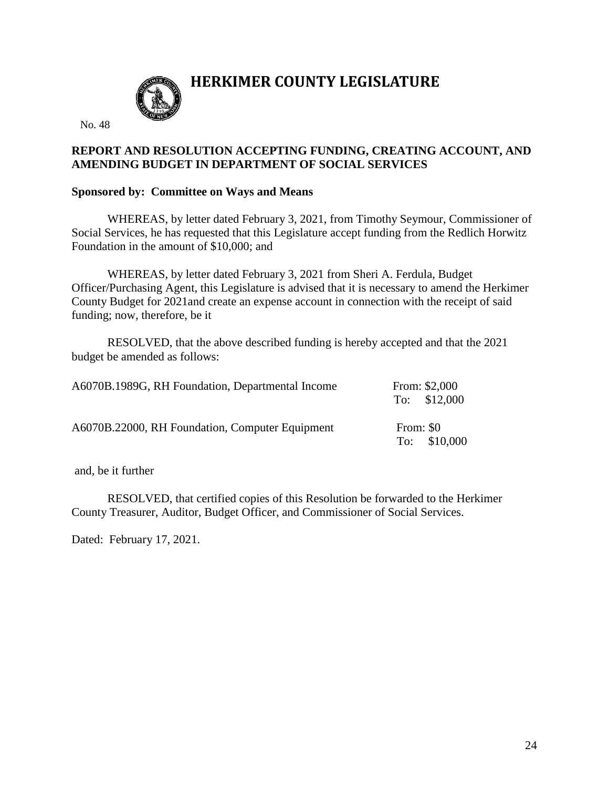

No. 48

# **REPORT AND RESOLUTION ACCEPTING FUNDING, CREATING ACCOUNT, AND AMENDING BUDGET IN DEPARTMENT OF SOCIAL SERVICES**

## **Sponsored by: Committee on Ways and Means**

WHEREAS, by letter dated February 3, 2021, from Timothy Seymour, Commissioner of Social Services, he has requested that this Legislature accept funding from the Redlich Horwitz Foundation in the amount of \$10,000; and

WHEREAS, by letter dated February 3, 2021 from Sheri A. Ferdula, Budget Officer/Purchasing Agent, this Legislature is advised that it is necessary to amend the Herkimer County Budget for 2021and create an expense account in connection with the receipt of said funding; now, therefore, be it

RESOLVED, that the above described funding is hereby accepted and that the 2021 budget be amended as follows:

| A6070B.1989G, RH Foundation, Departmental Income |           | From: \$2,000<br>To: $$12,000$ |
|--------------------------------------------------|-----------|--------------------------------|
| A6070B.22000, RH Foundation, Computer Equipment  | From: \$0 | To: $$10,000$                  |

and, be it further

RESOLVED, that certified copies of this Resolution be forwarded to the Herkimer County Treasurer, Auditor, Budget Officer, and Commissioner of Social Services.